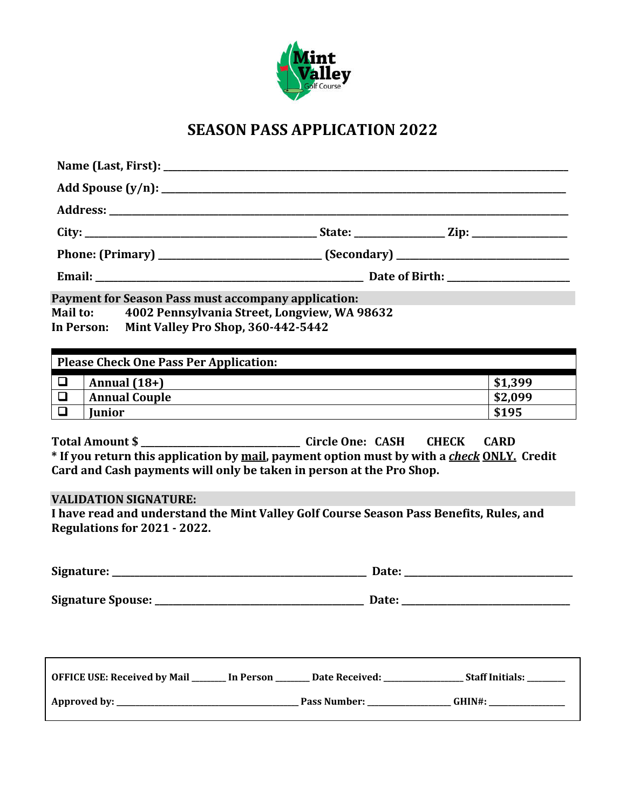

# **SEASON PASS APPLICATION 2022**

| <b>Payment for Season Pass must accompany application:</b><br>Mail to: 4002 Pennsylvania Street, Longview, WA 98632<br>In Person: Mint Valley Pro Shop, 360-442-5442                                                                                                                                                                             |                                                                                                                        |                    |
|--------------------------------------------------------------------------------------------------------------------------------------------------------------------------------------------------------------------------------------------------------------------------------------------------------------------------------------------------|------------------------------------------------------------------------------------------------------------------------|--------------------|
| <b>Please Check One Pass Per Application:</b>                                                                                                                                                                                                                                                                                                    |                                                                                                                        |                    |
| $\Box$<br>Annual $(18+)$<br>$\Box$<br><b>Annual Couple</b>                                                                                                                                                                                                                                                                                       |                                                                                                                        | \$1,399<br>\$2,099 |
| $\Box$<br><b>Iunior</b><br><u> 1989 - Johann Stein, marwolaethau a bhann an t-Amhain Aonaichte ann an t-Amhain Aonaichte ann an t-Amhain Aon</u>                                                                                                                                                                                                 | <u> 1989 - Johann Stein, fransk kampens og det forskellige og det forskellige og det forskellige og det forskellig</u> | \$195              |
| Total Amount \$<br>* If you return this application by mail, payment option must by with a check ONLY. Credit<br>Card and Cash payments will only be taken in person at the Pro Shop.<br><b>VALIDATION SIGNATURE:</b><br>I have read and understand the Mint Valley Golf Course Season Pass Benefits, Rules, and<br>Regulations for 2021 - 2022. |                                                                                                                        |                    |
|                                                                                                                                                                                                                                                                                                                                                  |                                                                                                                        |                    |
|                                                                                                                                                                                                                                                                                                                                                  |                                                                                                                        |                    |
| OFFICE USE: Received by Mail _______ In Person _______ Date Received: ____________________ Staff Initials: ________                                                                                                                                                                                                                              |                                                                                                                        |                    |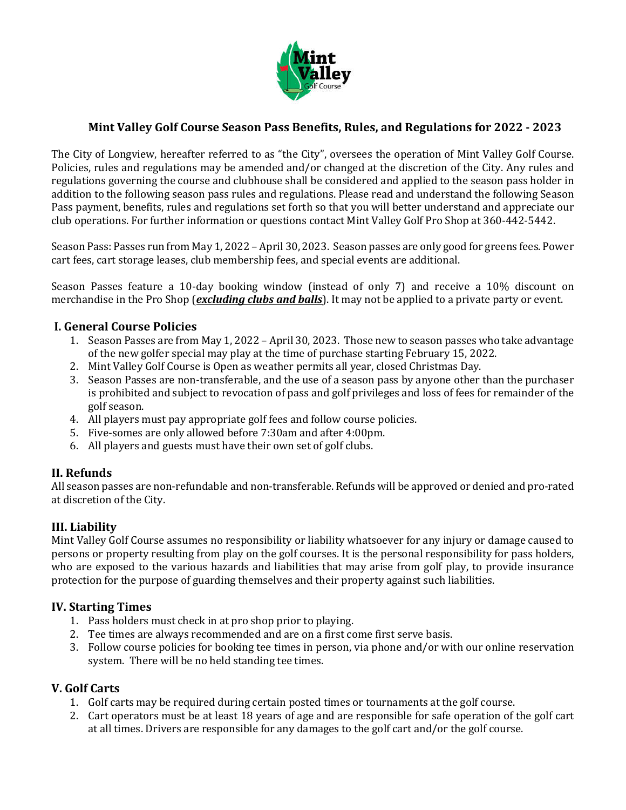

## **Mint Valley Golf Course Season Pass Benefits, Rules, and Regulations for 2022 - 2023**

The City of Longview, hereafter referred to as "the City", oversees the operation of Mint Valley Golf Course. Policies, rules and regulations may be amended and/or changed at the discretion of the City. Any rules and regulations governing the course and clubhouse shall be considered and applied to the season pass holder in addition to the following season pass rules and regulations. Please read and understand the following Season Pass payment, benefits, rules and regulations set forth so that you will better understand and appreciate our club operations. For further information or questions contact Mint Valley Golf Pro Shop at 360-442-5442.

Season Pass: Passes run from May 1, 2022 – April 30, 2023. Season passes are only good for greens fees. Power cart fees, cart storage leases, club membership fees, and special events are additional.

Season Passes feature a 10-day booking window (instead of only 7) and receive a 10% discount on merchandise in the Pro Shop (*excluding clubs and balls*). It may not be applied to a private party or event.

### **I. General Course Policies**

- 1. Season Passes are from May 1, 2022 April 30, 2023. Those new to season passes who take advantage of the new golfer special may play at the time of purchase starting February 15, 2022.
- 2. Mint Valley Golf Course is Open as weather permits all year, closed Christmas Day.
- 3. Season Passes are non-transferable, and the use of a season pass by anyone other than the purchaser is prohibited and subject to revocation of pass and golf privileges and loss of fees for remainder of the golf season.
- 4. All players must pay appropriate golf fees and follow course policies.
- 5. Five-somes are only allowed before 7:30am and after 4:00pm.
- 6. All players and guests must have their own set of golf clubs.

### **II. Refunds**

All season passes are non-refundable and non-transferable. Refunds will be approved or denied and pro-rated at discretion of the City.

### **III. Liability**

Mint Valley Golf Course assumes no responsibility or liability whatsoever for any injury or damage caused to persons or property resulting from play on the golf courses. It is the personal responsibility for pass holders, who are exposed to the various hazards and liabilities that may arise from golf play, to provide insurance protection for the purpose of guarding themselves and their property against such liabilities.

### **IV. Starting Times**

- 1. Pass holders must check in at pro shop prior to playing.
- 2. Tee times are always recommended and are on a first come first serve basis.
- 3. Follow course policies for booking tee times in person, via phone and/or with our online reservation system. There will be no held standing tee times.

### **V. Golf Carts**

- 1. Golf carts may be required during certain posted times or tournaments at the golf course.
- 2. Cart operators must be at least 18 years of age and are responsible for safe operation of the golf cart at all times. Drivers are responsible for any damages to the golf cart and/or the golf course.